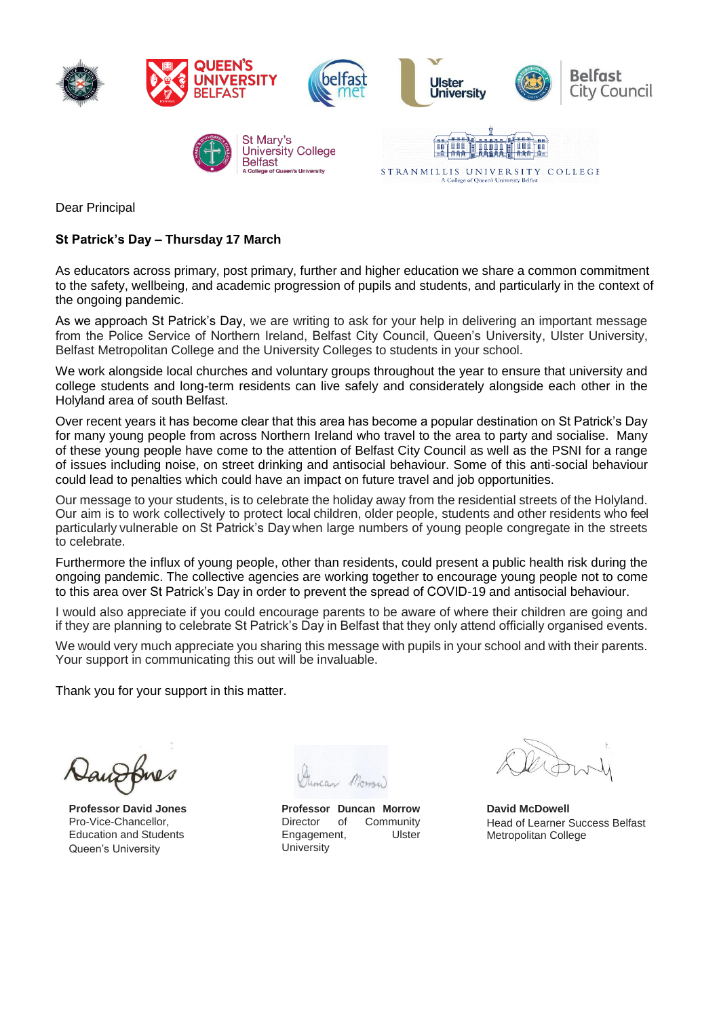

Dear Principal

## **St Patrick's Day – Thursday 17 March**

As educators across primary, post primary, further and higher education we share a common commitment to the safety, wellbeing, and academic progression of pupils and students, and particularly in the context of the ongoing pandemic.

As we approach St Patrick's Day, we are writing to ask for your help in delivering an important message from the Police Service of Northern Ireland, Belfast City Council, Queen's University, Ulster University, Belfast Metropolitan College and the University Colleges to students in your school.

We work alongside local churches and voluntary groups throughout the year to ensure that university and college students and long-term residents can live safely and considerately alongside each other in the Holyland area of south Belfast.

Over recent years it has become clear that this area has become a popular destination on St Patrick's Day for many young people from across Northern Ireland who travel to the area to party and socialise. Many of these young people have come to the attention of Belfast City Council as well as the PSNI for a range of issues including noise, on street drinking and antisocial behaviour. Some of this anti-social behaviour could lead to penalties which could have an impact on future travel and job opportunities.

Our message to your students, is to celebrate the holiday away from the residential streets of the Holyland. Our aim is to work collectively to protect local children, older people, students and other residents who feel particularly vulnerable on St Patrick's Day when large numbers of young people congregate in the streets to celebrate.

Furthermore the influx of young people, other than residents, could present a public health risk during the ongoing pandemic. The collective agencies are working together to encourage young people not to come to this area over St Patrick's Day in order to prevent the spread of COVID-19 and antisocial behaviour.

I would also appreciate if you could encourage parents to be aware of where their children are going and if they are planning to celebrate St Patrick's Day in Belfast that they only attend officially organised events.

We would very much appreciate you sharing this message with pupils in your school and with their parents. Your support in communicating this out will be invaluable.

Thank you for your support in this matter.

**Professor David Jones**  Pro-Vice-Chancellor, Education and Students Queen's University

**Professor Duncan Morrow** Director of Community Engagement, Ulster **University** 

**David McDowell** Head of Learner Success Belfast Metropolitan College